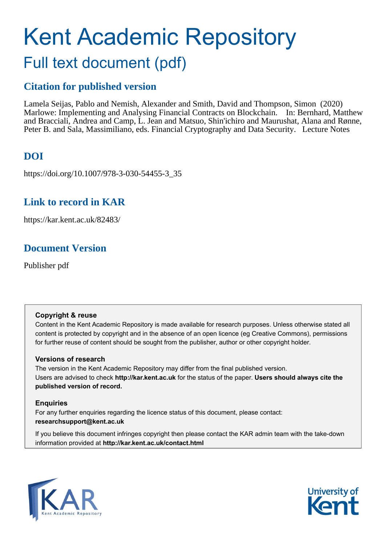# Kent Academic Repository Full text document (pdf)

# **Citation for published version**

Lamela Seijas, Pablo and Nemish, Alexander and Smith, David and Thompson, Simon (2020) Marlowe: Implementing and Analysing Financial Contracts on Blockchain. In: Bernhard, Matthew and Bracciali, Andrea and Camp, L. Jean and Matsuo, Shin'ichiro and Maurushat, Alana and Rønne, Peter B. and Sala, Massimiliano, eds. Financial Cryptography and Data Security. Lecture Notes

# **DOI**

https://doi.org/10.1007/978-3-030-54455-3\_35

## **Link to record in KAR**

https://kar.kent.ac.uk/82483/

# **Document Version**

Publisher pdf

## **Copyright & reuse**

Content in the Kent Academic Repository is made available for research purposes. Unless otherwise stated all content is protected by copyright and in the absence of an open licence (eg Creative Commons), permissions for further reuse of content should be sought from the publisher, author or other copyright holder.

## **Versions of research**

The version in the Kent Academic Repository may differ from the final published version. Users are advised to check **http://kar.kent.ac.uk** for the status of the paper. **Users should always cite the published version of record.**

## **Enquiries**

For any further enquiries regarding the licence status of this document, please contact: **researchsupport@kent.ac.uk**

If you believe this document infringes copyright then please contact the KAR admin team with the take-down information provided at **http://kar.kent.ac.uk/contact.html**



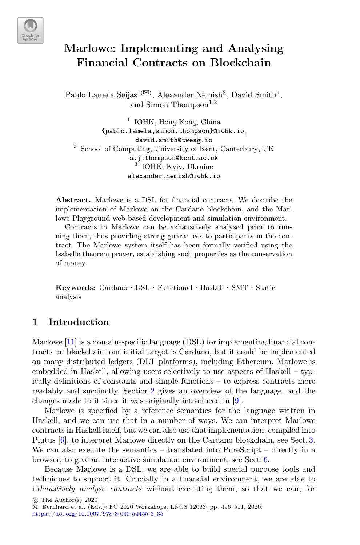

## Marlowe: Implementing and Analysing Financial Contracts on Blockchain

Pablo Lamela Seijas $^{1(\boxtimes)}$ , Alexander Nemish<sup>3</sup>, David Smith<sup>1</sup>, and Simon Thompson<sup>1,2</sup>

<sup>1</sup> IOHK, Hong Kong, China {pablo.lamela,simon.thompson}@iohk.io, david.smith@tweag.io <sup>2</sup> School of Computing, University of Kent, Canterbury, UK s.j.thompson@kent.ac.uk <sup>3</sup> IOHK, Kyiv, Ukraine alexander.nemish@iohk.io

Abstract. Marlowe is a DSL for financial contracts. We describe the implementation of Marlowe on the Cardano blockchain, and the Marlowe Playground web-based development and simulation environment.

Contracts in Marlowe can be exhaustively analysed prior to running them, thus providing strong guarantees to participants in the contract. The Marlowe system itself has been formally verified using the Isabelle theorem prover, establishing such properties as the conservation of money.

Keywords: Cardano · DSL · Functional · Haskell · SMT · Static analysis

#### 1 Introduction

Marlowe [11] is a domain-specific language (DSL) for implementing financial contracts on blockchain: our initial target is Cardano, but it could be implemented on many distributed ledgers (DLT platforms), including Ethereum. Marlowe is embedded in Haskell, allowing users selectively to use aspects of Haskell – typically definitions of constants and simple functions – to express contracts more readably and succinctly. Section 2 gives an overview of the language, and the changes made to it since it was originally introduced in [9].

Marlowe is specified by a reference semantics for the language written in Haskell, and we can use that in a number of ways. We can interpret Marlowe contracts in Haskell itself, but we can also use that implementation, compiled into Plutus [6], to interpret Marlowe directly on the Cardano blockchain, see Sect. 3. We can also execute the semantics – translated into PureScript – directly in a browser, to give an interactive simulation environment, see Sect. 6.

Because Marlowe is a DSL, we are able to build special purpose tools and techniques to support it. Crucially in a financial environment, we are able to *exhaustively analyse contracts* without executing them, so that we can, for

 $\circ$  The Author(s) 2020

M. Bernhard et al. (Eds.): FC 2020 Workshops, LNCS 12063, pp. 496–511, 2020. [https://doi.org/10.1007/978-3-030-54455-3](https://doi.org/10.1007/978-3-030-54455-3_35)\_35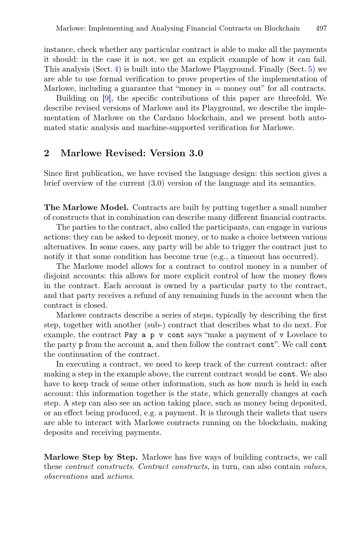instance, check whether any particular contract is able to make all the payments it should: in the case it is not, we get an explicit example of how it can fail. This analysis  $(Set. 4)$  is built into the Marlowe Playground. Finally  $(Set. 5)$  we are able to use formal verification to prove properties of the implementation of Marlowe, including a guarantee that "money in = money out" for all contracts.

Building on [9], the specific contributions of this paper are threefold. We describe revised versions of Marlowe and its Playground, we describe the implementation of Marlowe on the Cardano blockchain, and we present both automated static analysis and machine-supported verification for Marlowe.

#### 2 Marlowe Revised: Version 3.0

Since first publication, we have revised the language design: this section gives a brief overview of the current (3.0) version of the language and its semantics.

The Marlowe Model. Contracts are built by putting together a small number of constructs that in combination can describe many different financial contracts.

The parties to the contract, also called the participants, can engage in various actions: they can be asked to deposit money, or to make a choice between various alternatives. In some cases, any party will be able to trigger the contract just to notify it that some condition has become true (e.g., a timeout has occurred).

The Marlowe model allows for a contract to control money in a number of disjoint accounts: this allows for more explicit control of how the money flows in the contract. Each account is owned by a particular party to the contract, and that party receives a refund of any remaining funds in the account when the contract is closed.

Marlowe contracts describe a series of steps, typically by describing the first step, together with another (sub-) contract that describes what to do next. For example, the contract Pay a p v cont says "make a payment of v Lovelace to the party p from the account a, and then follow the contract cont". We call cont the continuation of the contract.

In executing a contract, we need to keep track of the current contract: after making a step in the example above, the current contract would be cont. We also have to keep track of some other information, such as how much is held in each account: this information together is the state, which generally changes at each step. A step can also see an action taking place, such as money being deposited, or an effect being produced, e.g. a payment. It is through their wallets that users are able to interact with Marlowe contracts running on the blockchain, making deposits and receiving payments.

Marlowe Step by Step. Marlowe has five ways of building contracts, we call these *contract constructs*. *Contract constructs*, in turn, can also contain *values*, *observations* and *actions*.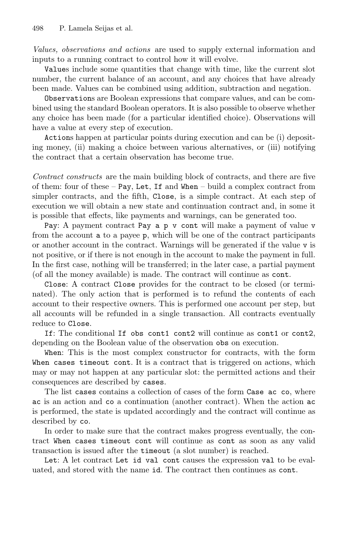*Values, observations and actions* are used to supply external information and inputs to a running contract to control how it will evolve.

Values include some quantities that change with time, like the current slot number, the current balance of an account, and any choices that have already been made. Values can be combined using addition, subtraction and negation.

Observations are Boolean expressions that compare values, and can be combined using the standard Boolean operators. It is also possible to observe whether any choice has been made (for a particular identified choice). Observations will have a value at every step of execution.

Actions happen at particular points during execution and can be (i) depositing money, (ii) making a choice between various alternatives, or (iii) notifying the contract that a certain observation has become true.

*Contract constructs* are the main building block of contracts, and there are five of them: four of these – Pay, Let, If and When – build a complex contract from simpler contracts, and the fifth, Close, is a simple contract. At each step of execution we will obtain a new state and continuation contract and, in some it is possible that effects, like payments and warnings, can be generated too.

Pay: A payment contract Pay a p v cont will make a payment of value v from the account a to a payee p, which will be one of the contract participants or another account in the contract. Warnings will be generated if the value v is not positive, or if there is not enough in the account to make the payment in full. In the first case, nothing will be transferred; in the later case, a partial payment (of all the money available) is made. The contract will continue as cont.

Close: A contract Close provides for the contract to be closed (or terminated). The only action that is performed is to refund the contents of each account to their respective owners. This is performed one account per step, but all accounts will be refunded in a single transaction. All contracts eventually reduce to Close.

If: The conditional If obs cont1 cont2 will continue as cont1 or cont2, depending on the Boolean value of the observation obs on execution.

When: This is the most complex constructor for contracts, with the form When cases timeout cont. It is a contract that is triggered on actions, which may or may not happen at any particular slot: the permitted actions and their consequences are described by cases.

The list cases contains a collection of cases of the form Case ac co, where ac is an action and co a continuation (another contract). When the action ac is performed, the state is updated accordingly and the contract will continue as described by co.

In order to make sure that the contract makes progress eventually, the contract When cases timeout cont will continue as cont as soon as any valid transaction is issued after the timeout (a slot number) is reached.

Let: A let contract Let id val cont causes the expression val to be evaluated, and stored with the name id. The contract then continues as cont.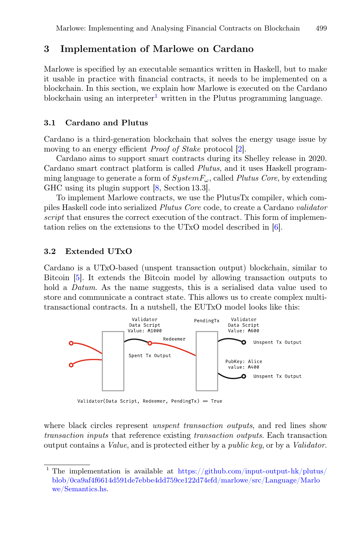#### 3 Implementation of Marlowe on Cardano

Marlowe is specified by an executable semantics written in Haskell, but to make it usable in practice with financial contracts, it needs to be implemented on a blockchain. In this section, we explain how Marlowe is executed on the Cardano blockchain using an interpreter<sup>1</sup> written in the Plutus programming language.

#### 3.1 Cardano and Plutus

Cardano is a third-generation blockchain that solves the energy usage issue by moving to an energy efficient *Proof of Stake* protocol [2].

Cardano aims to support smart contracts during its Shelley release in 2020. Cardano smart contract platform is called *Plutus*, and it uses Haskell programming language to generate a form of *SystemF*ω, called *Plutus Core*, by extending GHC using its plugin support [8, Section 13.3].

To implement Marlowe contracts, we use the PlutusTx compiler, which compiles Haskell code into serialized *Plutus Core* code, to create a Cardano *validator script* that ensures the correct execution of the contract. This form of implementation relies on the extensions to the UTxO model described in [6].

#### 3.2 Extended UTxO

Cardano is a UTxO-based (unspent transaction output) blockchain, similar to Bitcoin [5]. It extends the Bitcoin model by allowing transaction outputs to hold a *Datum*. As the name suggests, this is a serialised data value used to store and communicate a contract state. This allows us to create complex multitransactional contracts. In a nutshell, the EUTxO model looks like this:



Validator(Data Script, Redeemer, PendingTx) = True

where black circles represent *unspent transaction outputs*, and red lines show *transaction inputs* that reference existing *transaction outputs*. Each transaction output contains a *Value*, and is protected either by a *public key*, or by a *Validator*.

The implementation is available at  $\frac{https://github.com/input-output-hk/plutus/}{$  $\frac{https://github.com/input-output-hk/plutus/}{$  $\frac{https://github.com/input-output-hk/plutus/}{$ [blob/0ca9af4f6614d591de7ebbe4dd759ce122d74efd/marlowe/src/Language/Marlo](https://github.com/input-output-hk/plutus/blob/0ca9af4f6614d591de7ebbe4dd759ce122d74efd/marlowe/src/Language/Marlowe/Semantics.hs) [we/Semantics.hs.](https://github.com/input-output-hk/plutus/blob/0ca9af4f6614d591de7ebbe4dd759ce122d74efd/marlowe/src/Language/Marlowe/Semantics.hs)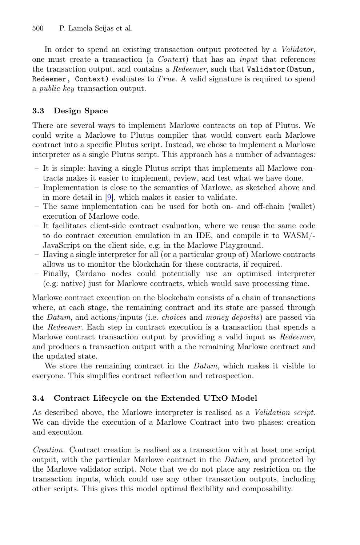In order to spend an existing transaction output protected by a *Validator*, one must create a transaction (a *Context*) that has an *input* that references the transaction output, and contains a *Redeemer*, such that Validator(Datum, Redeemer, Context) evaluates to *T rue*. A valid signature is required to spend a *public key* transaction output.

#### 3.3 Design Space

There are several ways to implement Marlowe contracts on top of Plutus. We could write a Marlowe to Plutus compiler that would convert each Marlowe contract into a specific Plutus script. Instead, we chose to implement a Marlowe interpreter as a single Plutus script. This approach has a number of advantages:

- It is simple: having a single Plutus script that implements all Marlowe contracts makes it easier to implement, review, and test what we have done.
- Implementation is close to the semantics of Marlowe, as sketched above and in more detail in [9], which makes it easier to validate.
- The same implementation can be used for both on- and off-chain (wallet) execution of Marlowe code.
- It facilitates client-side contract evaluation, where we reuse the same code to do contract execution emulation in an IDE, and compile it to WASM/- JavaScript on the client side, e.g. in the Marlowe Playground.
- Having a single interpreter for all (or a particular group of) Marlowe contracts allows us to monitor the blockchain for these contracts, if required.
- Finally, Cardano nodes could potentially use an optimised interpreter (e.g: native) just for Marlowe contracts, which would save processing time.

Marlowe contract execution on the blockchain consists of a chain of transactions where, at each stage, the remaining contract and its state are passed through the *Datum*, and actions/inputs (i.e. *choices* and *money deposits*) are passed via the *Redeemer*. Each step in contract execution is a transaction that spends a Marlowe contract transaction output by providing a valid input as *Redeemer*, and produces a transaction output with a the remaining Marlowe contract and the updated state.

We store the remaining contract in the *Datum*, which makes it visible to everyone. This simplifies contract reflection and retrospection.

#### 3.4 Contract Lifecycle on the Extended UTxO Model

As described above, the Marlowe interpreter is realised as a *Validation script*. We can divide the execution of a Marlowe Contract into two phases: creation and execution.

*Creation.* Contract creation is realised as a transaction with at least one script output, with the particular Marlowe contract in the *Datum*, and protected by the Marlowe validator script. Note that we do not place any restriction on the transaction inputs, which could use any other transaction outputs, including other scripts. This gives this model optimal flexibility and composability.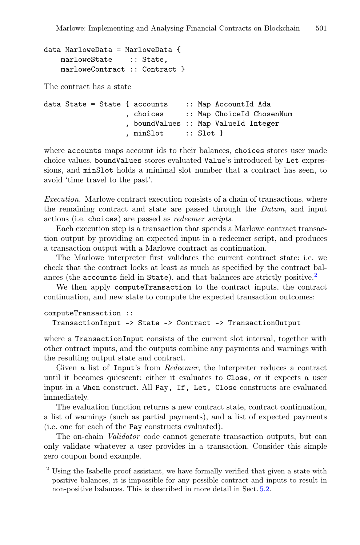```
data MarloweData = MarloweData {
   marloweState :: State,
   marloweContract :: Contract }
```
The contract has a state

```
data State = State { accounts :: Map AccountId Ada<br>, choices :: Map ChoiceId Chos
                                       :: Map ChoiceId ChosenNum
                       , boundValues :: Map ValueId Integer
                       , minSlot :: Slot }
```
where accounts maps account ids to their balances, choices stores user made choice values, boundValues stores evaluated Value's introduced by Let expressions, and minSlot holds a minimal slot number that a contract has seen, to avoid 'time travel to the past'.

*Execution.* Marlowe contract execution consists of a chain of transactions, where the remaining contract and state are passed through the *Datum*, and input actions (i.e. choices) are passed as *redeemer scripts*.

Each execution step is a transaction that spends a Marlowe contract transaction output by providing an expected input in a redeemer script, and produces a transaction output with a Marlowe contract as continuation.

The Marlowe interpreter first validates the current contract state: i.e. we check that the contract locks at least as much as specified by the contract balances (the  $accounts$  field in State), and that balances are strictly positive.<sup>2</sup>

We then apply computeTransaction to the contract inputs, the contract continuation, and new state to compute the expected transaction outcomes:

#### computeTransaction :: TransactionInput -> State -> Contract -> TransactionOutput

where a TransactionInput consists of the current slot interval, together with other ontract inputs, and the outputs combine any payments and warnings with the resulting output state and contract.

Given a list of Input's from *Redeemer*, the interpreter reduces a contract until it becomes quiescent: either it evaluates to Close, or it expects a user input in a When construct. All Pay, If, Let, Close constructs are evaluated immediately.

The evaluation function returns a new contract state, contract continuation, a list of warnings (such as partial payments), and a list of expected payments (i.e. one for each of the Pay constructs evaluated).

The on-chain *Validator* code cannot generate transaction outputs, but can only validate whatever a user provides in a transaction. Consider this simple zero coupon bond example.

Using the Isabelle proof assistant, we have formally verified that given a state with positive balances, it is impossible for any possible contract and inputs to result in non-positive balances. This is described in more detail in Sect. 5.2.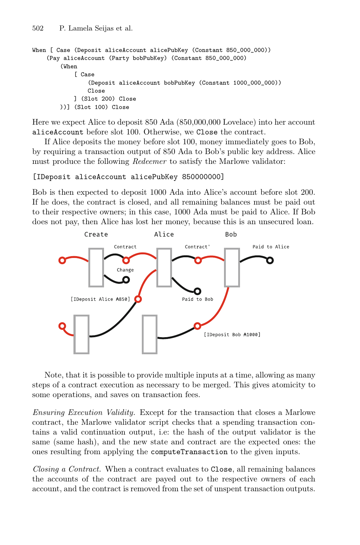```
When [ Case (Deposit aliceAccount alicePubKey (Constant 850_000_000))
    (Pay aliceAccount (Party bobPubKey) (Constant 850_000_000)
        (When
            [ Case
                (Deposit aliceAccount bobPubKey (Constant 1000_000_000))
                Close
            ] (Slot 200) Close
        ))] (Slot 100) Close
```
Here we expect Alice to deposit 850 Ada (850,000,000 Lovelace) into her account aliceAccount before slot 100. Otherwise, we Close the contract.

If Alice deposits the money before slot 100, money immediately goes to Bob, by requiring a transaction output of 850 Ada to Bob's public key address. Alice must produce the following *Redeemer* to satisfy the Marlowe validator:

#### [IDeposit aliceAccount alicePubKey 850000000]

Bob is then expected to deposit 1000 Ada into Alice's account before slot 200. If he does, the contract is closed, and all remaining balances must be paid out to their respective owners; in this case, 1000 Ada must be paid to Alice. If Bob does not pay, then Alice has lost her money, because this is an unsecured loan.



Note, that it is possible to provide multiple inputs at a time, allowing as many steps of a contract execution as necessary to be merged. This gives atomicity to some operations, and saves on transaction fees.

*Ensuring Execution Validity.* Except for the transaction that closes a Marlowe contract, the Marlowe validator script checks that a spending transaction contains a valid continuation output, i.e: the hash of the output validator is the same (same hash), and the new state and contract are the expected ones: the ones resulting from applying the computeTransaction to the given inputs.

*Closing a Contract.* When a contract evaluates to Close, all remaining balances the accounts of the contract are payed out to the respective owners of each account, and the contract is removed from the set of unspent transaction outputs.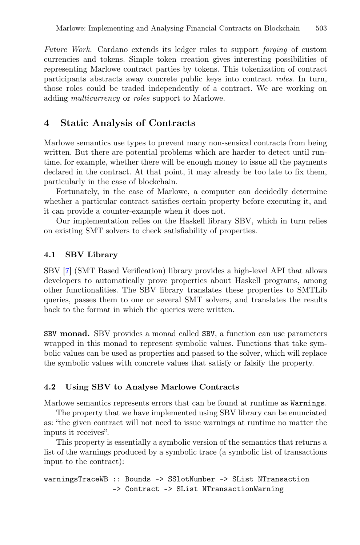*Future Work.* Cardano extends its ledger rules to support *forging* of custom currencies and tokens. Simple token creation gives interesting possibilities of representing Marlowe contract parties by tokens. This tokenization of contract participants abstracts away concrete public keys into contract *roles*. In turn, those roles could be traded independently of a contract. We are working on adding *multicurrency* or *roles* support to Marlowe.

#### 4 Static Analysis of Contracts

Marlowe semantics use types to prevent many non-sensical contracts from being written. But there are potential problems which are harder to detect until runtime, for example, whether there will be enough money to issue all the payments declared in the contract. At that point, it may already be too late to fix them, particularly in the case of blockchain.

Fortunately, in the case of Marlowe, a computer can decidedly determine whether a particular contract satisfies certain property before executing it, and it can provide a counter-example when it does not.

Our implementation relies on the Haskell library SBV, which in turn relies on existing SMT solvers to check satisfiability of properties.

#### 4.1 SBV Library

SBV [7] (SMT Based Verification) library provides a high-level API that allows developers to automatically prove properties about Haskell programs, among other functionalities. The SBV library translates these properties to SMTLib queries, passes them to one or several SMT solvers, and translates the results back to the format in which the queries were written.

SBV monad. SBV provides a monad called SBV, a function can use parameters wrapped in this monad to represent symbolic values. Functions that take symbolic values can be used as properties and passed to the solver, which will replace the symbolic values with concrete values that satisfy or falsify the property.

#### 4.2 Using SBV to Analyse Marlowe Contracts

Marlowe semantics represents errors that can be found at runtime as Warnings.

The property that we have implemented using SBV library can be enunciated as: "the given contract will not need to issue warnings at runtime no matter the inputs it receives".

This property is essentially a symbolic version of the semantics that returns a list of the warnings produced by a symbolic trace (a symbolic list of transactions input to the contract):

#### warningsTraceWB :: Bounds -> SSlotNumber -> SList NTransaction -> Contract -> SList NTransactionWarning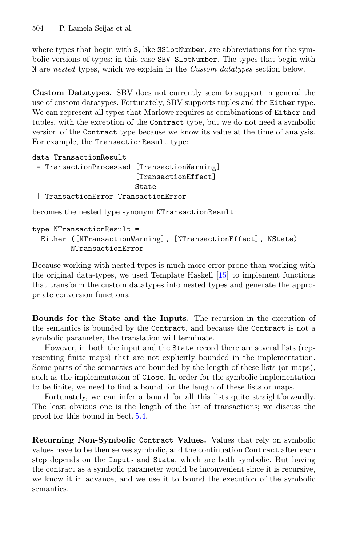where types that begin with S, like SS1otNumber, are abbreviations for the symbolic versions of types: in this case SBV SlotNumber. The types that begin with N are *nested* types, which we explain in the *Custom datatypes* section below.

Custom Datatypes. SBV does not currently seem to support in general the use of custom datatypes. Fortunately, SBV supports tuples and the Either type. We can represent all types that Marlowe requires as combinations of Either and tuples, with the exception of the Contract type, but we do not need a symbolic version of the Contract type because we know its value at the time of analysis. For example, the TransactionResult type:

```
data TransactionResult
 = TransactionProcessed [TransactionWarning]
                         [TransactionEffect]
                        State
 | TransactionError TransactionError
```
becomes the nested type synonym NTransactionResult:

```
type NTransactionResult =
  Either ([NTransactionWarning], [NTransactionEffect], NState)
         NTransactionError
```
Because working with nested types is much more error prone than working with the original data-types, we used Template Haskell [15] to implement functions that transform the custom datatypes into nested types and generate the appropriate conversion functions.

Bounds for the State and the Inputs. The recursion in the execution of the semantics is bounded by the Contract, and because the Contract is not a symbolic parameter, the translation will terminate.

However, in both the input and the State record there are several lists (representing finite maps) that are not explicitly bounded in the implementation. Some parts of the semantics are bounded by the length of these lists (or maps), such as the implementation of Close. In order for the symbolic implementation to be finite, we need to find a bound for the length of these lists or maps.

Fortunately, we can infer a bound for all this lists quite straightforwardly. The least obvious one is the length of the list of transactions; we discuss the proof for this bound in Sect. 5.4.

Returning Non-Symbolic Contract Values. Values that rely on symbolic values have to be themselves symbolic, and the continuation Contract after each step depends on the Inputs and State, which are both symbolic. But having the contract as a symbolic parameter would be inconvenient since it is recursive, we know it in advance, and we use it to bound the execution of the symbolic semantics.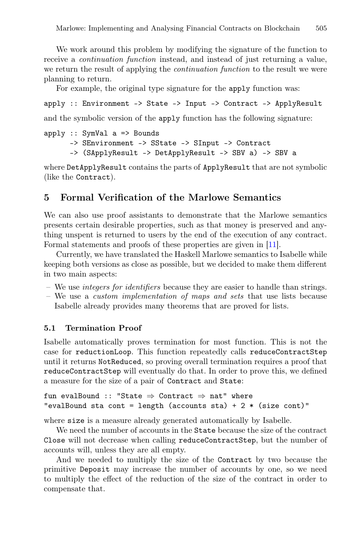We work around this problem by modifying the signature of the function to receive a *continuation function* instead, and instead of just returning a value, we return the result of applying the *continuation function* to the result we were planning to return.

For example, the original type signature for the apply function was:

apply :: Environment -> State -> Input -> Contract -> ApplyResult

and the symbolic version of the apply function has the following signature:

 $apply :: SymVal a \Rightarrow Bounds$ 

```
-> SEnvironment -> SState -> SInput -> Contract
```

```
-> (SApplyResult -> DetApplyResult -> SBV a) -> SBV a
```
where DetApplyResult contains the parts of ApplyResult that are not symbolic (like the Contract).

#### 5 Formal Verification of the Marlowe Semantics

We can also use proof assistants to demonstrate that the Marlowe semantics presents certain desirable properties, such as that money is preserved and anything unspent is returned to users by the end of the execution of any contract. Formal statements and proofs of these properties are given in [11].

Currently, we have translated the Haskell Marlowe semantics to Isabelle while keeping both versions as close as possible, but we decided to make them different in two main aspects:

- We use *integers for identifiers* because they are easier to handle than strings.
- We use a *custom implementation of maps and sets* that use lists because Isabelle already provides many theorems that are proved for lists.

#### 5.1 Termination Proof

Isabelle automatically proves termination for most function. This is not the case for reductionLoop. This function repeatedly calls reduceContractStep until it returns NotReduced, so proving overall termination requires a proof that reduceContractStep will eventually do that. In order to prove this, we defined a measure for the size of a pair of Contract and State:

```
fun evalBound :: "State \Rightarrow Contract \Rightarrow nat" where
"evalBound sta cont = length (accounts sta) + 2 * (size cont)"
```
where size is a measure already generated automatically by Isabelle.

We need the number of accounts in the State because the size of the contract Close will not decrease when calling reduceContractStep, but the number of accounts will, unless they are all empty.

And we needed to multiply the size of the Contract by two because the primitive Deposit may increase the number of accounts by one, so we need to multiply the effect of the reduction of the size of the contract in order to compensate that.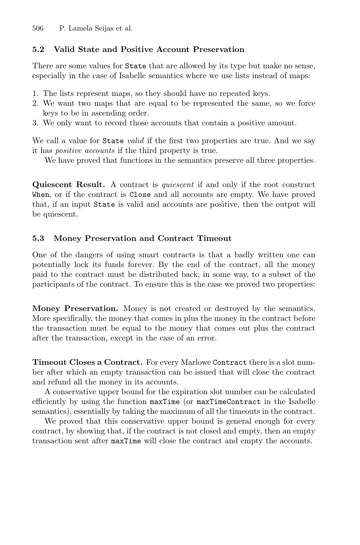#### 5.2 Valid State and Positive Account Preservation

There are some values for State that are allowed by its type but make no sense, especially in the case of Isabelle semantics where we use lists instead of maps:

- 1. The lists represent maps, so they should have no repeated keys.
- 2. We want two maps that are equal to be represented the same, so we force keys to be in ascending order.
- 3. We only want to record those accounts that contain a positive amount.

We call a value for State *valid* if the first two properties are true. And we say it has *positive accounts* if the third property is true.

We have proved that functions in the semantics preserve all three properties.

Quiescent Result. A contract is *quiescent* if and only if the root construct When, or if the contract is Close and all accounts are empty. We have proved that, if an input State is valid and accounts are positive, then the output will be quiescent.

#### 5.3 Money Preservation and Contract Timeout

One of the dangers of using smart contracts is that a badly written one can potentially lock its funds forever. By the end of the contract, all the money paid to the contract must be distributed back, in some way, to a subset of the participants of the contract. To ensure this is the case we proved two properties:

Money Preservation. Money is not created or destroyed by the semantics. More specifically, the money that comes in plus the money in the contract before the transaction must be equal to the money that comes out plus the contract after the transaction, except in the case of an error.

Timeout Closes a Contract. For every Marlowe Contract there is a slot number after which an empty transaction can be issued that will close the contract and refund all the money in its accounts.

A conservative upper bound for the expiration slot number can be calculated efficiently by using the function maxTime (or maxTimeContract in the Isabelle semantics), essentially by taking the maximum of all the timeouts in the contract.

We proved that this conservative upper bound is general enough for every contract, by showing that, if the contract is not closed and empty, then an empty transaction sent after maxTime will close the contract and empty the accounts.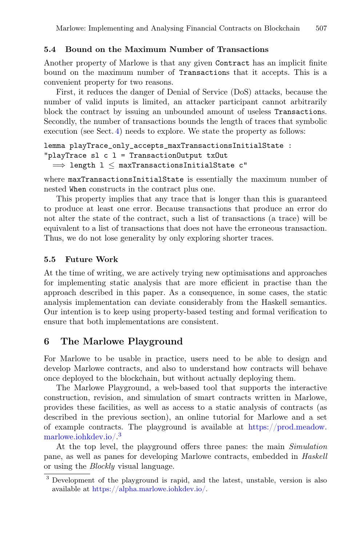#### 5.4 Bound on the Maximum Number of Transactions

Another property of Marlowe is that any given Contract has an implicit finite bound on the maximum number of Transactions that it accepts. This is a convenient property for two reasons.

First, it reduces the danger of Denial of Service (DoS) attacks, because the number of valid inputs is limited, an attacker participant cannot arbitrarily block the contract by issuing an unbounded amount of useless Transactions. Secondly, the number of transactions bounds the length of traces that symbolic execution (see Sect. 4) needs to explore. We state the property as follows:

```
lemma playTrace_only_accepts_maxTransactionsInitialState :
"playTrace sl c 1 = TransactionOutput txOut
  \implies length 1 \leq maxTransactionsInitialState c"
```
where maxTransactionsInitialState is essentially the maximum number of nested When constructs in the contract plus one.

This property implies that any trace that is longer than this is guaranteed to produce at least one error. Because transactions that produce an error do not alter the state of the contract, such a list of transactions (a trace) will be equivalent to a list of transactions that does not have the erroneous transaction. Thus, we do not lose generality by only exploring shorter traces.

#### 5.5 Future Work

At the time of writing, we are actively trying new optimisations and approaches for implementing static analysis that are more efficient in practise than the approach described in this paper. As a consequence, in some cases, the static analysis implementation can deviate considerably from the Haskell semantics. Our intention is to keep using property-based testing and formal verification to ensure that both implementations are consistent.

#### 6 The Marlowe Playground

For Marlowe to be usable in practice, users need to be able to design and develop Marlowe contracts, and also to understand how contracts will behave once deployed to the blockchain, but without actually deploying them.

The Marlowe Playground, a web-based tool that supports the interactive construction, revision, and simulation of smart contracts written in Marlowe, provides these facilities, as well as access to a static analysis of contracts (as described in the previous section), an online tutorial for Marlowe and a set of example contracts. The playground is available at [https://prod.meadow.](https://prod.meadow.marlowe.iohkdev.io/)  $\rm{marlowe.}$ ioh $\rm{kdev.}$ io $/$   $^3$ 

At the top level, the playground offers three panes: the main *Simulation* pane, as well as panes for developing Marlowe contracts, embedded in *Haskell* or using the *Blockly* visual language.

<sup>3</sup> Development of the playground is rapid, and the latest, unstable, version is also available at [https://alpha.marlowe.iohkdev.io/.](https://alpha.marlowe.iohkdev.io/)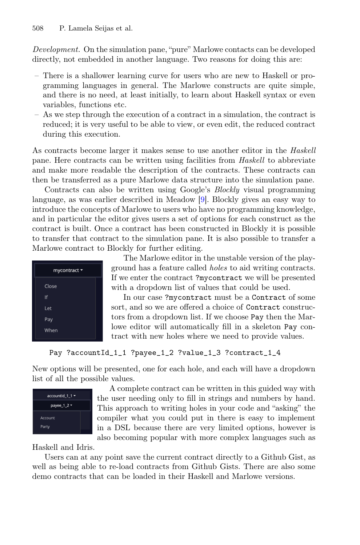*Development.* On the simulation pane, "pure" Marlowe contacts can be developed directly, not embedded in another language. Two reasons for doing this are:

- There is a shallower learning curve for users who are new to Haskell or programming languages in general. The Marlowe constructs are quite simple, and there is no need, at least initially, to learn about Haskell syntax or even variables, functions etc.
- As we step through the execution of a contract in a simulation, the contract is reduced; it is very useful to be able to view, or even edit, the reduced contract during this execution.

As contracts become larger it makes sense to use another editor in the *Haskell* pane. Here contracts can be written using facilities from *Haskell* to abbreviate and make more readable the description of the contracts. These contracts can then be transferred as a pure Marlowe data structure into the simulation pane.

Contracts can also be written using Google's *Blockly* visual programming language, as was earlier described in Meadow [9]. Blockly gives an easy way to introduce the concepts of Marlowe to users who have no programming knowledge, and in particular the editor gives users a set of options for each construct as the contract is built. Once a contract has been constructed in Blockly it is possible to transfer that contract to the simulation pane. It is also possible to transfer a Marlowe contract to Blockly for further editing.



The Marlowe editor in the unstable version of the playground has a feature called *holes* to aid writing contracts. If we enter the contract ?mycontract we will be presented with a dropdown list of values that could be used.

In our case ?mycontract must be a Contract of some sort, and so we are offered a choice of Contract constructors from a dropdown list. If we choose Pay then the Marlowe editor will automatically fill in a skeleton Pay contract with new holes where we need to provide values.

```
Pay ?accountId_1_1 ?payee_1_2 ?value_1_3 ?contract_1_4
```
New options will be presented, one for each hole, and each will have a dropdown list of all the possible values.



A complete contract can be written in this guided way with the user needing only to fill in strings and numbers by hand. This approach to writing holes in your code and "asking" the compiler what you could put in there is easy to implement in a DSL because there are very limited options, however is also becoming popular with more complex languages such as

Haskell and Idris.

Users can at any point save the current contract directly to a Github Gist, as well as being able to re-load contracts from Github Gists. There are also some demo contracts that can be loaded in their Haskell and Marlowe versions.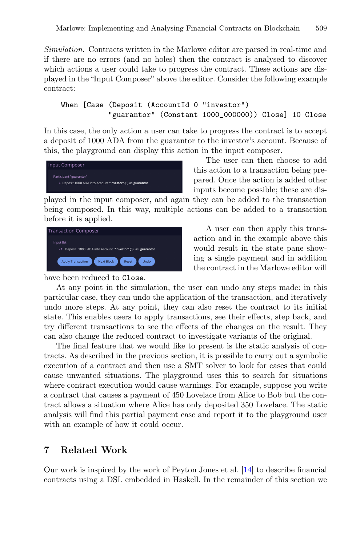*Simulation.* Contracts written in the Marlowe editor are parsed in real-time and if there are no errors (and no holes) then the contract is analysed to discover which actions a user could take to progress the contract. These actions are displayed in the "Input Composer" above the editor. Consider the following example contract:

```
When [Case (Deposit (AccountId 0 "investor")
           "guarantor" (Constant 1000_000000)) Close] 10 Close
```
In this case, the only action a user can take to progress the contract is to accept a deposit of 1000 ADA from the guarantor to the investor's account. Because of this, the playground can display this action in the input composer.

| Input Composer                                              |
|-------------------------------------------------------------|
| Participant "guarantor"                                     |
| + Deposit 1000 ADA into Account "investor" (0) as guarantor |

The user can then choose to add this action to a transaction being prepared. Once the action is added other inputs become possible; these are dis-

played in the input composer, and again they can be added to the transaction being composed. In this way, multiple actions can be added to a transaction before it is applied.

| <b>Transaction Composer</b>                                                         |
|-------------------------------------------------------------------------------------|
| <b>Input list</b><br>- 1: Deposit 1000 ADA into Account "investor" (0) as guarantor |
| <b>Next Block</b><br>Reset<br><b>Apply Transaction</b><br>Undo                      |

A user can then apply this transaction and in the example above this would result in the state pane showing a single payment and in addition the contract in the Marlowe editor will

have been reduced to Close.

At any point in the simulation, the user can undo any steps made: in this particular case, they can undo the application of the transaction, and iteratively undo more steps. At any point, they can also reset the contract to its initial state. This enables users to apply transactions, see their effects, step back, and try different transactions to see the effects of the changes on the result. They can also change the reduced contract to investigate variants of the original.

The final feature that we would like to present is the static analysis of contracts. As described in the previous section, it is possible to carry out a symbolic execution of a contract and then use a SMT solver to look for cases that could cause unwanted situations. The playground uses this to search for situations where contract execution would cause warnings. For example, suppose you write a contract that causes a payment of 450 Lovelace from Alice to Bob but the contract allows a situation where Alice has only deposited 350 Lovelace. The static analysis will find this partial payment case and report it to the playground user with an example of how it could occur.

#### 7 Related Work

Our work is inspired by the work of Peyton Jones et al. [14] to describe financial contracts using a DSL embedded in Haskell. In the remainder of this section we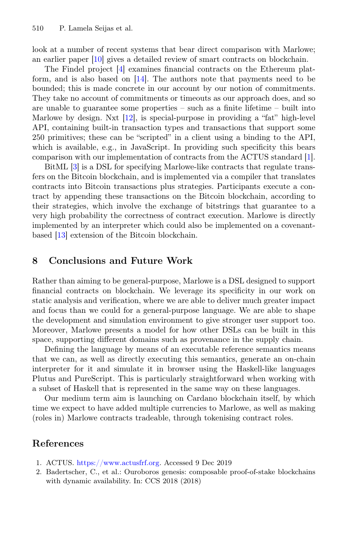look at a number of recent systems that bear direct comparison with Marlowe; an earlier paper [10] gives a detailed review of smart contracts on blockchain.

The Findel project [4] examines financial contracts on the Ethereum platform, and is also based on [14]. The authors note that payments need to be bounded; this is made concrete in our account by our notion of commitments. They take no account of commitments or timeouts as our approach does, and so are unable to guarantee some properties – such as a finite lifetime – built into Marlowe by design. Nxt [12], is special-purpose in providing a "fat" high-level API, containing built-in transaction types and transactions that support some 250 primitives; these can be "scripted" in a client using a binding to the API, which is available, e.g., in JavaScript. In providing such specificity this bears comparison with our implementation of contracts from the ACTUS standard [1].

BitML [3] is a DSL for specifying Marlowe-like contracts that regulate transfers on the Bitcoin blockchain, and is implemented via a compiler that translates contracts into Bitcoin transactions plus strategies. Participants execute a contract by appending these transactions on the Bitcoin blockchain, according to their strategies, which involve the exchange of bitstrings that guarantee to a very high probability the correctness of contract execution. Marlowe is directly implemented by an interpreter which could also be implemented on a covenantbased [13] extension of the Bitcoin blockchain.

#### 8 Conclusions and Future Work

Rather than aiming to be general-purpose, Marlowe is a DSL designed to support financial contracts on blockchain. We leverage its specificity in our work on static analysis and verification, where we are able to deliver much greater impact and focus than we could for a general-purpose language. We are able to shape the development and simulation environment to give stronger user support too. Moreover, Marlowe presents a model for how other DSLs can be built in this space, supporting different domains such as provenance in the supply chain.

Defining the language by means of an executable reference semantics means that we can, as well as directly executing this semantics, generate an on-chain interpreter for it and simulate it in browser using the Haskell-like languages Plutus and PureScript. This is particularly straightforward when working with a subset of Haskell that is represented in the same way on these languages.

Our medium term aim is launching on Cardano blockchain itself, by which time we expect to have added multiple currencies to Marlowe, as well as making (roles in) Marlowe contracts tradeable, through tokenising contract roles.

#### References

- 1. ACTUS. [https://www.actusfrf.org.](https://www.actusfrf.org) Accessed 9 Dec 2019
- 2. Badertscher, C., et al.: Ouroboros genesis: composable proof-of-stake blockchains with dynamic availability. In: CCS 2018 (2018)